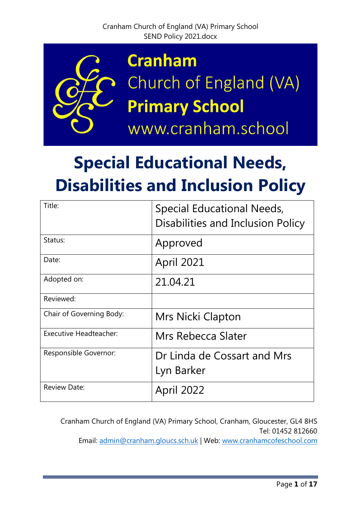

# **Special Educational Needs, Disabilities and Inclusion Policy**

| Title:                        | Special Educational Needs,<br>Disabilities and Inclusion Policy |
|-------------------------------|-----------------------------------------------------------------|
| Status:                       | Approved                                                        |
| Date:                         | April 2021                                                      |
| Adopted on:                   | 21.04.21                                                        |
| Reviewed:                     |                                                                 |
| Chair of Governing Body:      | Mrs Nicki Clapton                                               |
| <b>Executive Headteacher:</b> | Mrs Rebecca Slater                                              |
| Responsible Governor:         | Dr Linda de Cossart and Mrs<br>Lyn Barker                       |
| <b>Review Date:</b>           | <b>April 2022</b>                                               |

Cranham Church of England (VA) Primary School, Cranham, Gloucester, GL4 8HS Tel: 01452 812660 Email: [admin@cranham.gloucs.sch.uk](mailto:admin@cranham.gloucs.sch.uk) | Web: [www.cranhamcofeschool.com](http://www.cranhamcofeschool.com/)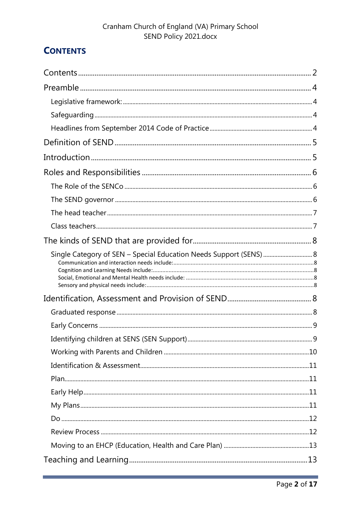# <span id="page-1-0"></span>**CONTENTS**

| Single Category of SEN - Special Education Needs Support (SENS)  8 |  |
|--------------------------------------------------------------------|--|
|                                                                    |  |
|                                                                    |  |
|                                                                    |  |
|                                                                    |  |
|                                                                    |  |
|                                                                    |  |
|                                                                    |  |
|                                                                    |  |
|                                                                    |  |
|                                                                    |  |
|                                                                    |  |
|                                                                    |  |
|                                                                    |  |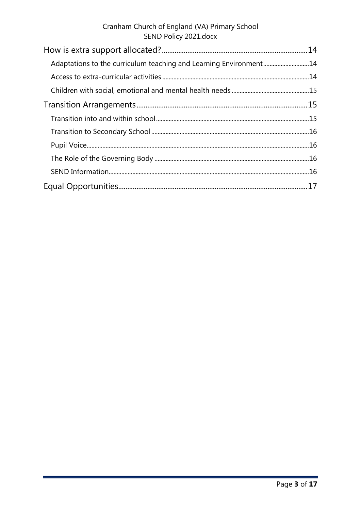| Adaptations to the curriculum teaching and Learning Environment14 |  |
|-------------------------------------------------------------------|--|
|                                                                   |  |
|                                                                   |  |
|                                                                   |  |
|                                                                   |  |
|                                                                   |  |
|                                                                   |  |
|                                                                   |  |
|                                                                   |  |
|                                                                   |  |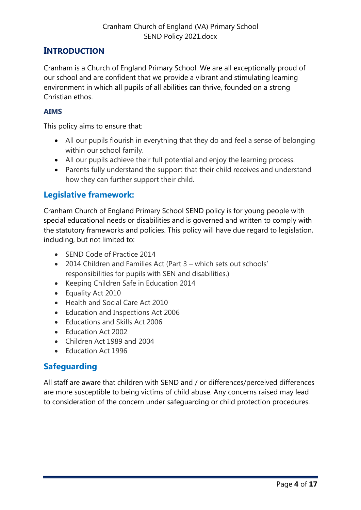# <span id="page-3-0"></span>**INTRODUCTION**

Cranham is a Church of England Primary School. We are all exceptionally proud of our school and are confident that we provide a vibrant and stimulating learning environment in which all pupils of all abilities can thrive, founded on a strong Christian ethos.

#### **AIMS**

This policy aims to ensure that:

- All our pupils flourish in everything that they do and feel a sense of belonging within our school family.
- All our pupils achieve their full potential and enjoy the learning process.
- Parents fully understand the support that their child receives and understand how they can further support their child.

# <span id="page-3-1"></span>**Legislative framework:**

Cranham Church of England Primary School SEND policy is for young people with special educational needs or disabilities and is governed and written to comply with the statutory frameworks and policies. This policy will have due regard to legislation, including, but not limited to:

- SEND Code of Practice 2014
- 2014 Children and Families Act (Part 3 which sets out schools' responsibilities for pupils with SEN and disabilities.)
- Keeping Children Safe in Education 2014
- Equality Act 2010
- Health and Social Care Act 2010
- Education and Inspections Act 2006
- Educations and Skills Act 2006
- Education Act 2002
- Children Act 1989 and 2004
- Education Act 1996

# <span id="page-3-2"></span>**Safeguarding**

<span id="page-3-3"></span>All staff are aware that children with SEND and / or differences/perceived differences are more susceptible to being victims of child abuse. Any concerns raised may lead to consideration of the concern under safeguarding or child protection procedures.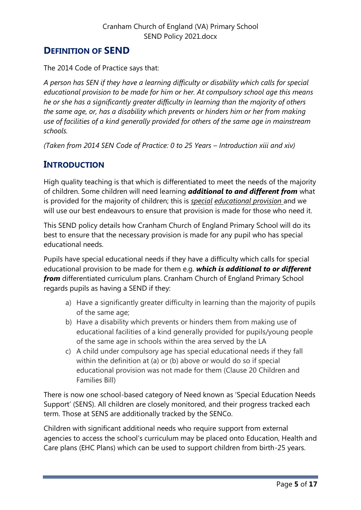# <span id="page-4-0"></span>**DEFINITION OF SEND**

The 2014 Code of Practice says that:

*A person has SEN if they have a learning difficulty or disability which calls for special educational provision to be made for him or her. At compulsory school age this means he or she has a significantly greater difficulty in learning than the majority of others the same age, or, has a disability which prevents or hinders him or her from making use of facilities of a kind generally provided for others of the same age in mainstream schools.*

*(Taken from 2014 SEN Code of Practice: 0 to 25 Years – Introduction xiii and xiv)*

# <span id="page-4-1"></span>**INTRODUCTION**

High quality teaching is that which is differentiated to meet the needs of the majority of children. Some children will need learning *additional to and different from* what is provided for the majority of children; this is *special educational provision* and we will use our best endeavours to ensure that provision is made for those who need it.

This SEND policy details how Cranham Church of England Primary School will do its best to ensure that the necessary provision is made for any pupil who has special educational needs.

Pupils have special educational needs if they have a difficulty which calls for special educational provision to be made for them e.g. *which is additional to or different from* differentiated curriculum plans. Cranham Church of England Primary School regards pupils as having a SEND if they:

- a) Have a significantly greater difficulty in learning than the majority of pupils of the same age;
- b) Have a disability which prevents or hinders them from making use of educational facilities of a kind generally provided for pupils/young people of the same age in schools within the area served by the LA
- c) A child under compulsory age has special educational needs if they fall within the definition at (a) or (b) above or would do so if special educational provision was not made for them (Clause 20 Children and Families Bill)

There is now one school-based category of Need known as 'Special Education Needs Support' (SENS). All children are closely monitored, and their progress tracked each term. Those at SENS are additionally tracked by the SENCo.

Children with significant additional needs who require support from external agencies to access the school's curriculum may be placed onto Education, Health and Care plans (EHC Plans) which can be used to support children from birth-25 years.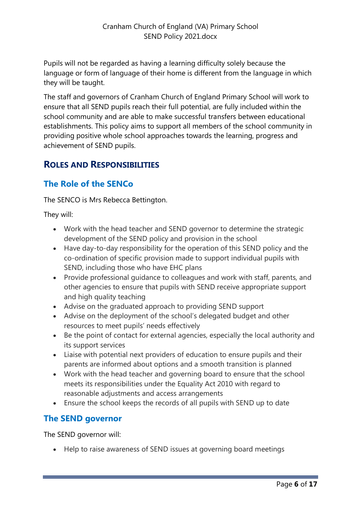Pupils will not be regarded as having a learning difficulty solely because the language or form of language of their home is different from the language in which they will be taught.

The staff and governors of Cranham Church of England Primary School will work to ensure that all SEND pupils reach their full potential, are fully included within the school community and are able to make successful transfers between educational establishments. This policy aims to support all members of the school community in providing positive whole school approaches towards the learning, progress and achievement of SEND pupils.

# <span id="page-5-0"></span>**ROLES AND RESPONSIBILITIES**

# <span id="page-5-1"></span>**The Role of the SENCo**

The SENCO is Mrs Rebecca Bettington.

They will:

- Work with the head teacher and SEND governor to determine the strategic development of the SEND policy and provision in the school
- Have day-to-day responsibility for the operation of this SEND policy and the co-ordination of specific provision made to support individual pupils with SEND, including those who have EHC plans
- Provide professional guidance to colleagues and work with staff, parents, and other agencies to ensure that pupils with SEND receive appropriate support and high quality teaching
- Advise on the graduated approach to providing SEND support
- Advise on the deployment of the school's delegated budget and other resources to meet pupils' needs effectively
- Be the point of contact for external agencies, especially the local authority and its support services
- Liaise with potential next providers of education to ensure pupils and their parents are informed about options and a smooth transition is planned
- Work with the head teacher and governing board to ensure that the school meets its responsibilities under the Equality Act 2010 with regard to reasonable adjustments and access arrangements
- Ensure the school keeps the records of all pupils with SEND up to date

# <span id="page-5-2"></span>**The SEND governor**

The SEND governor will:

Help to raise awareness of SEND issues at governing board meetings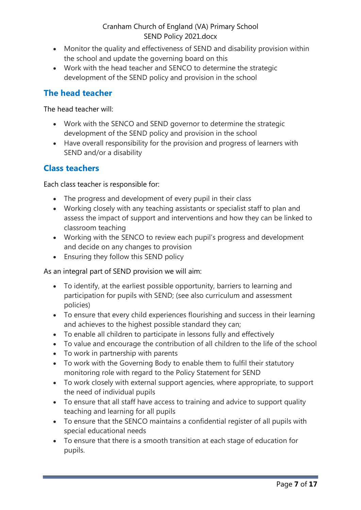- Monitor the quality and effectiveness of SEND and disability provision within the school and update the governing board on this
- Work with the head teacher and SENCO to determine the strategic development of the SEND policy and provision in the school

## <span id="page-6-0"></span>**The head teacher**

The head teacher will:

- Work with the SENCO and SEND governor to determine the strategic development of the SEND policy and provision in the school
- Have overall responsibility for the provision and progress of learners with SEND and/or a disability

## <span id="page-6-1"></span>**Class teachers**

Each class teacher is responsible for:

- The progress and development of every pupil in their class
- Working closely with any teaching assistants or specialist staff to plan and assess the impact of support and interventions and how they can be linked to classroom teaching
- Working with the SENCO to review each pupil's progress and development and decide on any changes to provision
- Ensuring they follow this SEND policy

As an integral part of SEND provision we will aim:

- To identify, at the earliest possible opportunity, barriers to learning and participation for pupils with SEND; (see also curriculum and assessment policies)
- To ensure that every child experiences flourishing and success in their learning and achieves to the highest possible standard they can;
- To enable all children to participate in lessons fully and effectively
- To value and encourage the contribution of all children to the life of the school
- To work in partnership with parents
- To work with the Governing Body to enable them to fulfil their statutory monitoring role with regard to the Policy Statement for SEND
- To work closely with external support agencies, where appropriate, to support the need of individual pupils
- To ensure that all staff have access to training and advice to support quality teaching and learning for all pupils
- To ensure that the SENCO maintains a confidential register of all pupils with special educational needs
- To ensure that there is a smooth transition at each stage of education for pupils.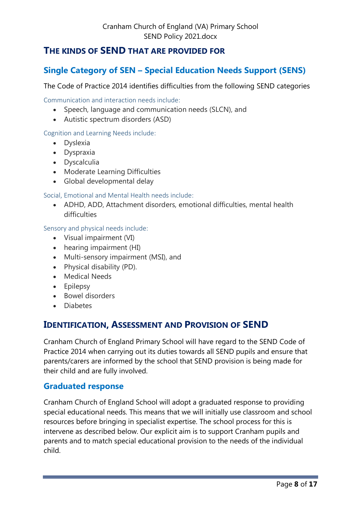# <span id="page-7-0"></span>**THE KINDS OF SEND THAT ARE PROVIDED FOR**

# <span id="page-7-1"></span>**Single Category of SEN – Special Education Needs Support (SENS)**

The Code of Practice 2014 identifies difficulties from the following SEND categories

<span id="page-7-2"></span>Communication and interaction needs include:

- Speech, language and communication needs (SLCN), and
- Autistic spectrum disorders (ASD)

#### <span id="page-7-3"></span>Cognition and Learning Needs include:

- Dyslexia
- Dyspraxia
- Dyscalculia
- Moderate Learning Difficulties
- Global developmental delay

#### <span id="page-7-4"></span>Social, Emotional and Mental Health needs include:

 ADHD, ADD, Attachment disorders, emotional difficulties, mental health difficulties

<span id="page-7-5"></span>Sensory and physical needs include:

- Visual impairment (VI)
- hearing impairment (HI)
- Multi-sensory impairment (MSI), and
- Physical disability (PD).
- Medical Needs
- Epilepsy
- Bowel disorders
- Diabetes

# <span id="page-7-6"></span>**IDENTIFICATION, ASSESSMENT AND PROVISION OF SEND**

Cranham Church of England Primary School will have regard to the SEND Code of Practice 2014 when carrying out its duties towards all SEND pupils and ensure that parents/carers are informed by the school that SEND provision is being made for their child and are fully involved.

#### <span id="page-7-7"></span>**Graduated response**

Cranham Church of England School will adopt a graduated response to providing special educational needs. This means that we will initially use classroom and school resources before bringing in specialist expertise. The school process for this is intervene as described below. Our explicit aim is to support Cranham pupils and parents and to match special educational provision to the needs of the individual child.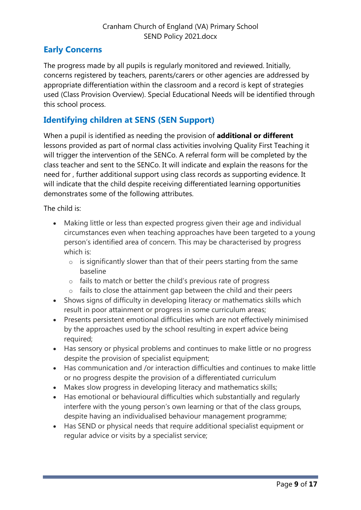# <span id="page-8-0"></span>**Early Concerns**

The progress made by all pupils is regularly monitored and reviewed. Initially, concerns registered by teachers, parents/carers or other agencies are addressed by appropriate differentiation within the classroom and a record is kept of strategies used (Class Provision Overview). Special Educational Needs will be identified through this school process.

# <span id="page-8-1"></span>**Identifying children at SENS (SEN Support)**

When a pupil is identified as needing the provision of **additional or different** lessons provided as part of normal class activities involving Quality First Teaching it will trigger the intervention of the SENCo. A referral form will be completed by the class teacher and sent to the SENCo. It will indicate and explain the reasons for the need for , further additional support using class records as supporting evidence. It will indicate that the child despite receiving differentiated learning opportunities demonstrates some of the following attributes.

The child is:

- Making little or less than expected progress given their age and individual circumstances even when teaching approaches have been targeted to a young person's identified area of concern. This may be characterised by progress which is:
	- $\circ$  is significantly slower than that of their peers starting from the same baseline
	- o fails to match or better the child's previous rate of progress
	- o fails to close the attainment gap between the child and their peers
- Shows signs of difficulty in developing literacy or mathematics skills which result in poor attainment or progress in some curriculum areas;
- Presents persistent emotional difficulties which are not effectively minimised by the approaches used by the school resulting in expert advice being required;
- Has sensory or physical problems and continues to make little or no progress despite the provision of specialist equipment;
- Has communication and /or interaction difficulties and continues to make little or no progress despite the provision of a differentiated curriculum
- Makes slow progress in developing literacy and mathematics skills;
- Has emotional or behavioural difficulties which substantially and regularly interfere with the young person's own learning or that of the class groups, despite having an individualised behaviour management programme;
- Has SEND or physical needs that require additional specialist equipment or regular advice or visits by a specialist service;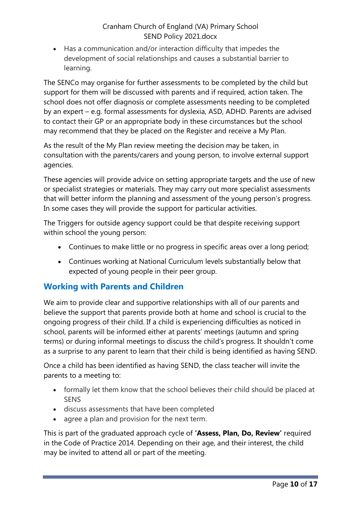Has a communication and/or interaction difficulty that impedes the development of social relationships and causes a substantial barrier to learning.

The SENCo may organise for further assessments to be completed by the child but support for them will be discussed with parents and if required, action taken. The school does not offer diagnosis or complete assessments needing to be completed by an expert – e.g. formal assessments for dyslexia, ASD, ADHD. Parents are advised to contact their GP or an appropriate body in these circumstances but the school may recommend that they be placed on the Register and receive a My Plan.

As the result of the My Plan review meeting the decision may be taken, in consultation with the parents/carers and young person, to involve external support agencies.

These agencies will provide advice on setting appropriate targets and the use of new or specialist strategies or materials. They may carry out more specialist assessments that will better inform the planning and assessment of the young person's progress. In some cases they will provide the support for particular activities.

The Triggers for outside agency support could be that despite receiving support within school the young person:

- Continues to make little or no progress in specific areas over a long period;
- Continues working at National Curriculum levels substantially below that expected of young people in their peer group.

## <span id="page-9-0"></span>**Working with Parents and Children**

We aim to provide clear and supportive relationships with all of our parents and believe the support that parents provide both at home and school is crucial to the ongoing progress of their child. If a child is experiencing difficulties as noticed in school, parents will be informed either at parents' meetings (autumn and spring terms) or during informal meetings to discuss the child's progress. It shouldn't come as a surprise to any parent to learn that their child is being identified as having SEND.

Once a child has been identified as having SEND, the class teacher will invite the parents to a meeting to:

- formally let them know that the school believes their child should be placed at **SENS**
- discuss assessments that have been completed
- agree a plan and provision for the next term.

This is part of the graduated approach cycle of **'Assess, Plan, Do, Review'** required in the Code of Practice 2014. Depending on their age, and their interest, the child may be invited to attend all or part of the meeting.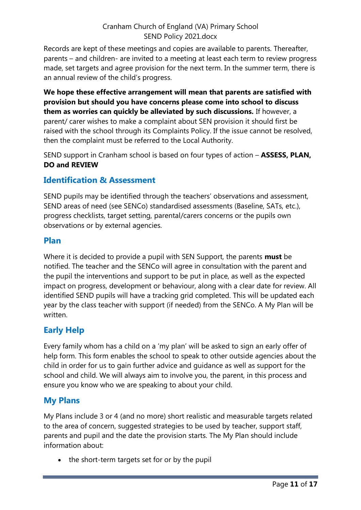Records are kept of these meetings and copies are available to parents. Thereafter, parents – and children- are invited to a meeting at least each term to review progress made, set targets and agree provision for the next term. In the summer term, there is an annual review of the child's progress.

**We hope these effective arrangement will mean that parents are satisfied with provision but should you have concerns please come into school to discuss them as worries can quickly be alleviated by such discussions.** If however, a parent/ carer wishes to make a complaint about SEN provision it should first be raised with the school through its Complaints Policy. If the issue cannot be resolved, then the complaint must be referred to the Local Authority.

SEND support in Cranham school is based on four types of action – **ASSESS, PLAN, DO and REVIEW**

# <span id="page-10-0"></span>**Identification & Assessment**

SEND pupils may be identified through the teachers' observations and assessment, SEND areas of need (see SENCo) standardised assessments (Baseline, SATs, etc.), progress checklists, target setting, parental/carers concerns or the pupils own observations or by external agencies.

#### <span id="page-10-1"></span>**Plan**

Where it is decided to provide a pupil with SEN Support, the parents **must** be notified. The teacher and the SENCo will agree in consultation with the parent and the pupil the interventions and support to be put in place, as well as the expected impact on progress, development or behaviour, along with a clear date for review. All identified SEND pupils will have a tracking grid completed. This will be updated each year by the class teacher with support (if needed) from the SENCo. A My Plan will be written.

# <span id="page-10-2"></span>**Early Help**

Every family whom has a child on a 'my plan' will be asked to sign an early offer of help form. This form enables the school to speak to other outside agencies about the child in order for us to gain further advice and guidance as well as support for the school and child. We will always aim to involve you, the parent, in this process and ensure you know who we are speaking to about your child.

# <span id="page-10-3"></span>**My Plans**

My Plans include 3 or 4 (and no more) short realistic and measurable targets related to the area of concern, suggested strategies to be used by teacher, support staff, parents and pupil and the date the provision starts. The My Plan should include information about:

• the short-term targets set for or by the pupil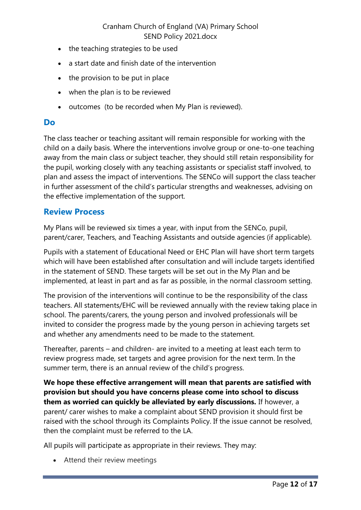- the teaching strategies to be used
- a start date and finish date of the intervention
- the provision to be put in place
- when the plan is to be reviewed
- outcomes (to be recorded when My Plan is reviewed).

#### <span id="page-11-0"></span>**Do**

The class teacher or teaching assitant will remain responsible for working with the child on a daily basis. Where the interventions involve group or one-to-one teaching away from the main class or subject teacher, they should still retain responsibility for the pupil, working closely with any teaching assistants or specialist staff involved, to plan and assess the impact of interventions. The SENCo will support the class teacher in further assessment of the child's particular strengths and weaknesses, advising on the effective implementation of the support.

#### <span id="page-11-1"></span>**Review Process**

My Plans will be reviewed six times a year, with input from the SENCo, pupil, parent/carer, Teachers, and Teaching Assistants and outside agencies (if applicable).

Pupils with a statement of Educational Need or EHC Plan will have short term targets which will have been established after consultation and will include targets identified in the statement of SEND. These targets will be set out in the My Plan and be implemented, at least in part and as far as possible, in the normal classroom setting.

The provision of the interventions will continue to be the responsibility of the class teachers. All statements/EHC will be reviewed annually with the review taking place in school. The parents/carers, the young person and involved professionals will be invited to consider the progress made by the young person in achieving targets set and whether any amendments need to be made to the statement.

Thereafter, parents – and children- are invited to a meeting at least each term to review progress made, set targets and agree provision for the next term. In the summer term, there is an annual review of the child's progress.

**We hope these effective arrangement will mean that parents are satisfied with provision but should you have concerns please come into school to discuss them as worried can quickly be alleviated by early discussions.** If however, a parent/ carer wishes to make a complaint about SEND provision it should first be raised with the school through its Complaints Policy. If the issue cannot be resolved, then the complaint must be referred to the LA.

All pupils will participate as appropriate in their reviews. They may:

Attend their review meetings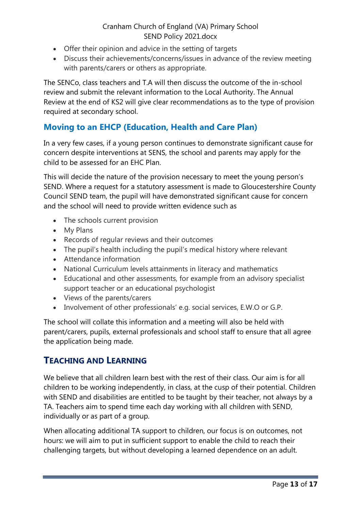- Offer their opinion and advice in the setting of targets
- Discuss their achievements/concerns/issues in advance of the review meeting with parents/carers or others as appropriate.

The SENCo, class teachers and T.A will then discuss the outcome of the in-school review and submit the relevant information to the Local Authority. The Annual Review at the end of KS2 will give clear recommendations as to the type of provision required at secondary school.

# <span id="page-12-0"></span>**Moving to an EHCP (Education, Health and Care Plan)**

In a very few cases, if a young person continues to demonstrate significant cause for concern despite interventions at SENS, the school and parents may apply for the child to be assessed for an EHC Plan.

This will decide the nature of the provision necessary to meet the young person's SEND. Where a request for a statutory assessment is made to Gloucestershire County Council SEND team, the pupil will have demonstrated significant cause for concern and the school will need to provide written evidence such as

- The schools current provision
- My Plans
- Records of regular reviews and their outcomes
- The pupil's health including the pupil's medical history where relevant
- Attendance information
- National Curriculum levels attainments in literacy and mathematics
- Educational and other assessments, for example from an advisory specialist support teacher or an educational psychologist
- Views of the parents/carers
- Involvement of other professionals' e.g. social services, E.W.O or G.P.

The school will collate this information and a meeting will also be held with parent/carers, pupils, external professionals and school staff to ensure that all agree the application being made.

## <span id="page-12-1"></span>**TEACHING AND LEARNING**

We believe that all children learn best with the rest of their class. Our aim is for all children to be working independently, in class, at the cusp of their potential. Children with SEND and disabilities are entitled to be taught by their teacher, not always by a TA. Teachers aim to spend time each day working with all children with SEND, individually or as part of a group.

When allocating additional TA support to children, our focus is on outcomes, not hours: we will aim to put in sufficient support to enable the child to reach their challenging targets, but without developing a learned dependence on an adult.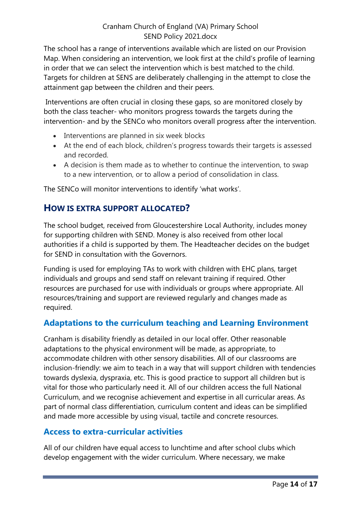The school has a range of interventions available which are listed on our Provision Map. When considering an intervention, we look first at the child's profile of learning in order that we can select the intervention which is best matched to the child. Targets for children at SENS are deliberately challenging in the attempt to close the attainment gap between the children and their peers.

Interventions are often crucial in closing these gaps, so are monitored closely by both the class teacher- who monitors progress towards the targets during the intervention- and by the SENCo who monitors overall progress after the intervention.

- Interventions are planned in six week blocks
- At the end of each block, children's progress towards their targets is assessed and recorded.
- A decision is them made as to whether to continue the intervention, to swap to a new intervention, or to allow a period of consolidation in class.

The SENCo will monitor interventions to identify 'what works'.

# <span id="page-13-0"></span>**HOW IS EXTRA SUPPORT ALLOCATED?**

The school budget, received from Gloucestershire Local Authority, includes money for supporting children with SEND. Money is also received from other local authorities if a child is supported by them. The Headteacher decides on the budget for SEND in consultation with the Governors.

Funding is used for employing TAs to work with children with EHC plans, target individuals and groups and send staff on relevant training if required. Other resources are purchased for use with individuals or groups where appropriate. All resources/training and support are reviewed regularly and changes made as required.

# <span id="page-13-1"></span>**Adaptations to the curriculum teaching and Learning Environment**

Cranham is disability friendly as detailed in our local offer. Other reasonable adaptations to the physical environment will be made, as appropriate, to accommodate children with other sensory disabilities. All of our classrooms are inclusion-friendly: we aim to teach in a way that will support children with tendencies towards dyslexia, dyspraxia, etc. This is good practice to support all children but is vital for those who particularly need it. All of our children access the full National Curriculum, and we recognise achievement and expertise in all curricular areas. As part of normal class differentiation, curriculum content and ideas can be simplified and made more accessible by using visual, tactile and concrete resources.

## <span id="page-13-2"></span>**Access to extra-curricular activities**

All of our children have equal access to lunchtime and after school clubs which develop engagement with the wider curriculum. Where necessary, we make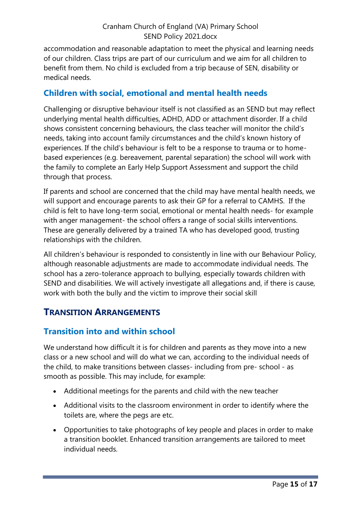accommodation and reasonable adaptation to meet the physical and learning needs of our children. Class trips are part of our curriculum and we aim for all children to benefit from them. No child is excluded from a trip because of SEN, disability or medical needs.

## <span id="page-14-0"></span>**Children with social, emotional and mental health needs**

Challenging or disruptive behaviour itself is not classified as an SEND but may reflect underlying mental health difficulties, ADHD, ADD or attachment disorder. If a child shows consistent concerning behaviours, the class teacher will monitor the child's needs, taking into account family circumstances and the child's known history of experiences. If the child's behaviour is felt to be a response to trauma or to homebased experiences (e.g. bereavement, parental separation) the school will work with the family to complete an Early Help Support Assessment and support the child through that process.

If parents and school are concerned that the child may have mental health needs, we will support and encourage parents to ask their GP for a referral to CAMHS. If the child is felt to have long-term social, emotional or mental health needs- for example with anger management- the school offers a range of social skills interventions. These are generally delivered by a trained TA who has developed good, trusting relationships with the children.

All children's behaviour is responded to consistently in line with our Behaviour Policy, although reasonable adjustments are made to accommodate individual needs. The school has a zero-tolerance approach to bullying, especially towards children with SEND and disabilities. We will actively investigate all allegations and, if there is cause, work with both the bully and the victim to improve their social skill

# <span id="page-14-1"></span>**TRANSITION ARRANGEMENTS**

## <span id="page-14-2"></span>**Transition into and within school**

We understand how difficult it is for children and parents as they move into a new class or a new school and will do what we can, according to the individual needs of the child, to make transitions between classes- including from pre- school - as smooth as possible. This may include, for example:

- Additional meetings for the parents and child with the new teacher
- Additional visits to the classroom environment in order to identify where the toilets are, where the pegs are etc.
- Opportunities to take photographs of key people and places in order to make a transition booklet. Enhanced transition arrangements are tailored to meet individual needs.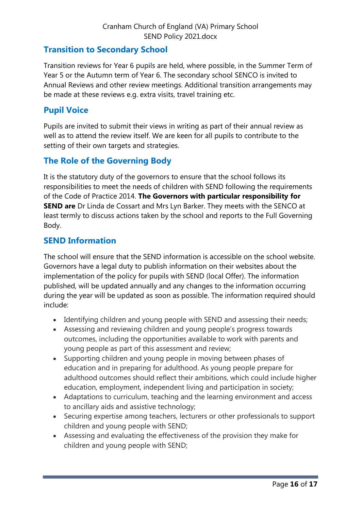## <span id="page-15-0"></span>**Transition to Secondary School**

Transition reviews for Year 6 pupils are held, where possible, in the Summer Term of Year 5 or the Autumn term of Year 6. The secondary school SENCO is invited to Annual Reviews and other review meetings. Additional transition arrangements may be made at these reviews e.g. extra visits, travel training etc.

## <span id="page-15-1"></span>**Pupil Voice**

Pupils are invited to submit their views in writing as part of their annual review as well as to attend the review itself. We are keen for all pupils to contribute to the setting of their own targets and strategies.

# <span id="page-15-2"></span>**The Role of the Governing Body**

It is the statutory duty of the governors to ensure that the school follows its responsibilities to meet the needs of children with SEND following the requirements of the Code of Practice 2014. **The Governors with particular responsibility for SEND are** Dr Linda de Cossart and Mrs Lyn Barker. They meets with the SENCO at least termly to discuss actions taken by the school and reports to the Full Governing Body.

## <span id="page-15-3"></span>**SEND Information**

The school will ensure that the SEND information is accessible on the school website. Governors have a legal duty to publish information on their websites about the implementation of the policy for pupils with SEND (local Offer). The information published, will be updated annually and any changes to the information occurring during the year will be updated as soon as possible. The information required should include:

- Identifying children and young people with SEND and assessing their needs;
- Assessing and reviewing children and young people's progress towards outcomes, including the opportunities available to work with parents and young people as part of this assessment and review;
- Supporting children and young people in moving between phases of education and in preparing for adulthood. As young people prepare for adulthood outcomes should reflect their ambitions, which could include higher education, employment, independent living and participation in society;
- Adaptations to curriculum, teaching and the learning environment and access to ancillary aids and assistive technology;
- Securing expertise among teachers, lecturers or other professionals to support children and young people with SEND;
- Assessing and evaluating the effectiveness of the provision they make for children and young people with SEND;